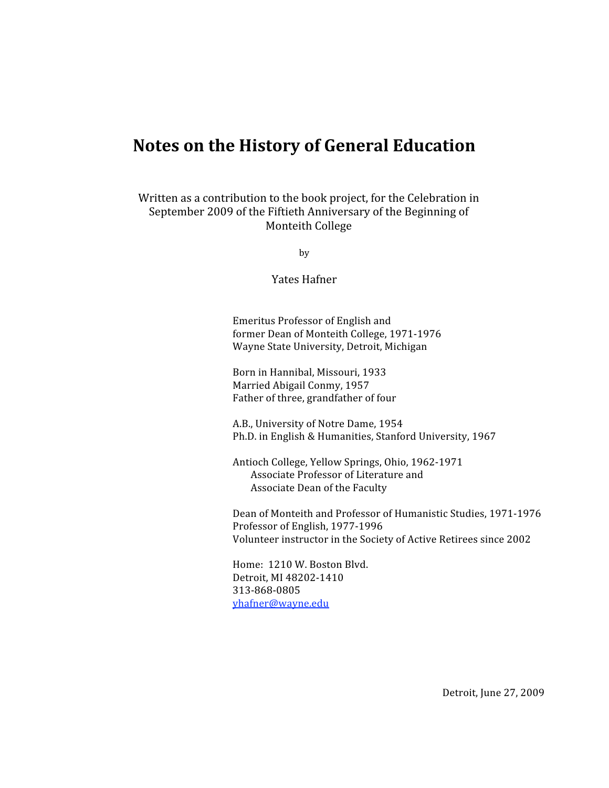## **Notes
on
the
History
of
General
Education**

Written as a contribution to the book project, for the Celebration in September 2009 of the Fiftieth Anniversary of the Beginning of Monteith
College

by

Yates
Hafner

Emeritus
Professor
of
English
and former
Dean
of
Monteith
College,
1971‐1976 Wayne
State
University,
Detroit,
Michigan

Born
in
Hannibal,
Missouri,
1933 Married
Abigail
Conmy,
1957 Father of three, grandfather of four

A.B.,
University
of
Notre
Dame,
1954 Ph.D.
in
English
&
Humanities,
Stanford
University,
1967

Antioch
College,
Yellow
Springs,
Ohio,
1962‐1971 Associate
Professor
of
Literature
and Associate
Dean
of
the
Faculty

Dean
of
Monteith
and
Professor
of
Humanistic
Studies,
1971‐1976 Professor
of
English,
1977‐1996 Volunteer
instructor
in
the
Society
of
Active
Retirees
since
2002

Home:

1210
W.
Boston
Blvd. Detroit,
MI
48202‐1410 313‐868‐0805 yhafner@wayne.edu

Detroit,
June
27,
2009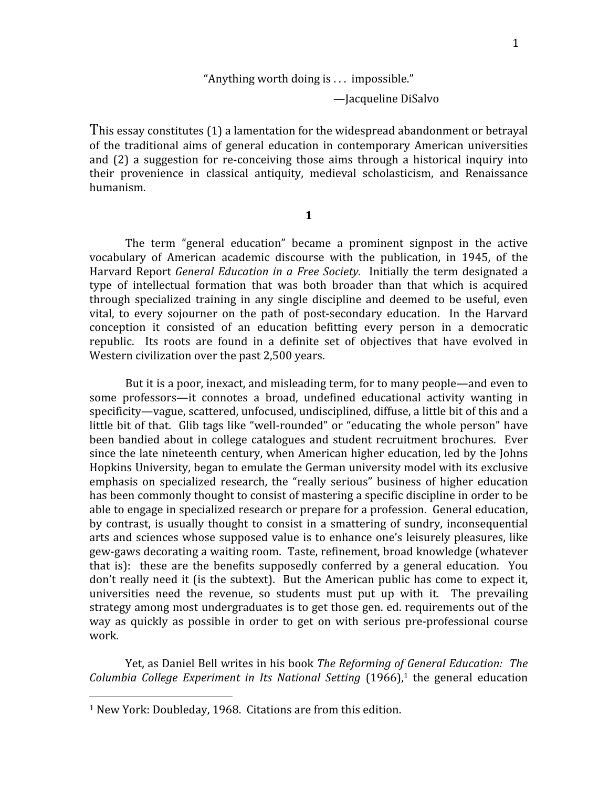## "Anything
worth
doing
is
.
.
.

impossible."

—Jacqueline
DiSalvo

This essay constitutes (1) a lamentation for the widespread abandonment or betrayal of
 the
 traditional
 aims
 of
 general
 education
 in
 contemporary
 American
 universities and (2) a suggestion for re-conceiving those aims through a historical inquiry into their
 provenience
 in
 classical
 antiquity,
 medieval
 scholasticism,
 and
 Renaissance humanism.

**1**

The term "general education" became a prominent signpost in the active vocabulary of American academic discourse with the publication, in 1945, of the Harvard Report *General Education in a Free Society*. Initially the term designated a type of intellectual formation that was both broader than that which is acquired through specialized training in any single discipline and deemed to be useful, even vital, to every sojourner on the path of post-secondary education. In the Harvard conception it consisted of an education befitting every person in a democratic republic. Its roots are found in a definite set of objectives that have evolved in Western civilization over the past 2,500 years.

But it is a poor, inexact, and misleading term, for to many people—and even to some professors—it connotes a broad, undefined educational activity wanting in specificity—vague, scattered, unfocused, undisciplined, diffuse, a little bit of this and a little bit of that. Glib tags like "well-rounded" or "educating the whole person" have been bandied about in college catalogues and student recruitment brochures. Ever since the late nineteenth century, when American higher education, led by the Johns Hopkins University, began to emulate the German university model with its exclusive emphasis on specialized research, the "really serious" business of higher education has been commonly thought to consist of mastering a specific discipline in order to be able to engage in specialized research or prepare for a profession. General education, by contrast, is usually thought to consist in a smattering of sundry, inconsequential arts
and
sciences
whose
supposed
value
is
 to
enhance
one's
leisurely
pleasures,
like gew-gaws decorating a waiting room. Taste, refinement, broad knowledge (whatever that is): these are the benefits supposedly conferred by a general education. You don't really need it (is the subtext). But the American public has come to expect it, universities need the revenue, so students must put up with it. The prevailing strategy among most undergraduates is to get those gen. ed. requirements out of the way as quickly as possible in order to get on with serious pre-professional course work.

Yet, as Daniel Bell writes in his book *The Reforming of General Education: The* Columbia College Experiment in Its National Setting (1966),<sup>1</sup> the general education

<sup>&</sup>lt;sup>1</sup> New York: Doubleday, 1968. Citations are from this edition.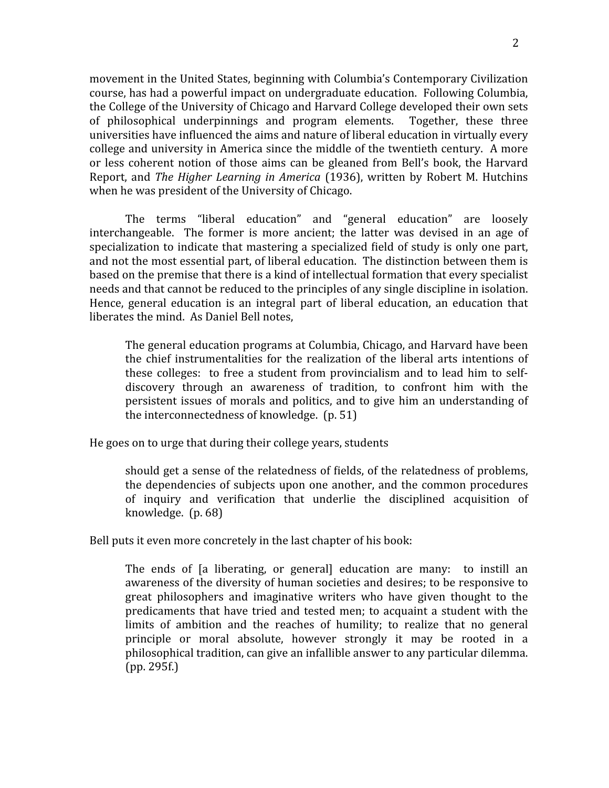movement
in
the
United
States,
beginning
with
Columbia's
Contemporary
Civilization course,
has
had
a
powerful
impact
on
undergraduate
education.

Following
Columbia, the
College
of
the
University
of
Chicago
and
Harvard
College
developed
their
own
sets of
 philosophical
 underpinnings
 and
 program
 elements.

 Together,
 these
 three universities have influenced the aims and nature of liberal education in virtually every college and university in America since the middle of the twentieth century. A more or
less
 coherent
 notion
 of
 those
 aims
 can
 be
 gleaned
 from
 Bell's
 book,
 the
Harvard Report, and *The Higher Learning in America* (1936), written by Robert M. Hutchins when he was president of the University of Chicago.

The
 terms
 "liberal
 education"
 and
 "general
 education"
 are
 loosely interchangeable. The former is more ancient; the latter was devised in an age of specialization to indicate that mastering a specialized field of study is only one part, and
not
the
most
essential
part,
of
liberal
education.

The
distinction
between
them
is based
on
the
premise
that
there
is
a
kind
of
intellectual
formation
that
every
specialist needs and that cannot be reduced to the principles of any single discipline in isolation. Hence, general education is an integral part of liberal education, an education that liberates
the
mind.

As
Daniel
Bell
notes,

The
general
education
programs
at
Columbia,
Chicago,
and
Harvard
have
been the chief instrumentalities for the realization of the liberal arts intentions of these colleges: to free a student from provincialism and to lead him to selfdiscovery
 through
 an
 awareness
 of
 tradition,
 to
 confront
 him
 with
 the persistent
issues
 of
morals
and
 politics,
and
 to
give
 him
an
 understanding
 of the
interconnectedness
of
knowledge.

(p.
51)

He
goes
on
to
urge
that
during
their
college
years,
students

should get a sense of the relatedness of fields, of the relatedness of problems, the
dependencies
of
subjects
upon
one
another,
and
 the
common
procedures of inquiry and verification that underlie the disciplined acquisition of knowledge.

(p.
68)

Bell puts it even more concretely in the last chapter of his book:

The ends of [a liberating, or general] education are many: to instill an awareness
of
the
diversity
of
human
societies
and
desires;
to
be
responsive
to great
 philosophers
 and
 imaginative
 writers
 who
 have
 given
 thought
 to
 the predicaments
 that
 have
 tried
and
 tested
men;
 to
acquaint
a
 student
with
 the limits of ambition and the reaches of humility; to realize that no general principle or moral absolute, however strongly it may be rooted in a philosophical
tradition,
can
give
an
infallible
answer
to
any
particular
dilemma. (pp.
295f.)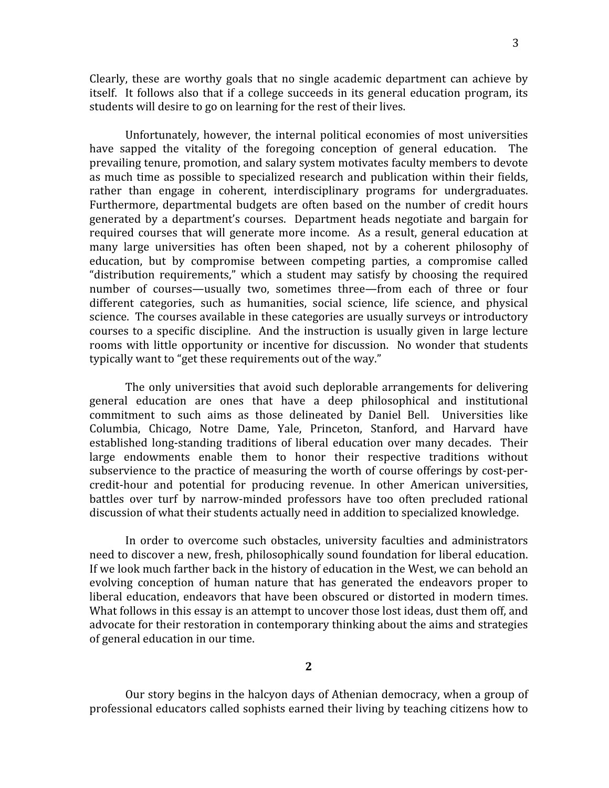Clearly, these are worthy goals that no single academic department can achieve by itself. It follows also that if a college succeeds in its general education program, its students will desire to go on learning for the rest of their lives.

Unfortunately, however, the internal political economies of most universities have sapped the vitality of the foregoing conception of general education. The prevailing
tenure,
promotion,
and
salary
system
motivates
faculty
members
to
devote as much time as possible to specialized research and publication within their fields, rather than engage in coherent, interdisciplinary programs for undergraduates. Furthermore, departmental budgets are often based on the number of credit hours generated
 by
 a
 department's
 courses.

 Department
 heads
 negotiate
 and
 bargain
 for required courses that will generate more income. As a result, general education at many large universities has often been shaped, not by a coherent philosophy of education,
 but
 by
 compromise
 between
 competing
 parties,
 a
 compromise
 called "distribution requirements," which a student may satisfy by choosing the required number of courses—usually two, sometimes three—from each of three or four different categories, such as humanities, social science, life science, and physical science. The courses available in these categories are usually surveys or introductory courses to a specific discipline. And the instruction is usually given in large lecture rooms with little opportunity or incentive for discussion. No wonder that students typically want to "get these requirements out of the way."

The only universities that avoid such deplorable arrangements for delivering general
 education
 are
 ones
 that
 have
 a
 deep
 philosophical
 and
 institutional commitment to such aims as those delineated by Daniel Bell. Universities like Columbia,
 Chicago,
 Notre
 Dame,
 Yale,
 Princeton,
 Stanford,
 and
 Harvard
 have established long-standing traditions of liberal education over many decades. Their large endowments enable them to honor their respective traditions without subservience to the practice of measuring the worth of course offerings by cost-percredit-hour and potential for producing revenue. In other American universities, battles
 over
 turf
 by
 narrow‐minded
 professors
 have
 too
 often
 precluded
 rational discussion
of
what
their
students
actually
need
in
addition
to
specialized
knowledge.

In order to overcome such obstacles, university faculties and administrators need to discover a new, fresh, philosophically sound foundation for liberal education. If we look much farther back in the history of education in the West, we can behold an evolving conception of human nature that has generated the endeavors proper to liberal education, endeavors that have been obscured or distorted in modern times. What follows in this essay is an attempt to uncover those lost ideas, dust them off, and advocate for their restoration in contemporary thinking about the aims and strategies of
general
education
in
our
time.

**2**

Our story begins in the halcyon days of Athenian democracy, when a group of professional
educators
called
sophists
earned
their
living
by
teaching
citizens
how
to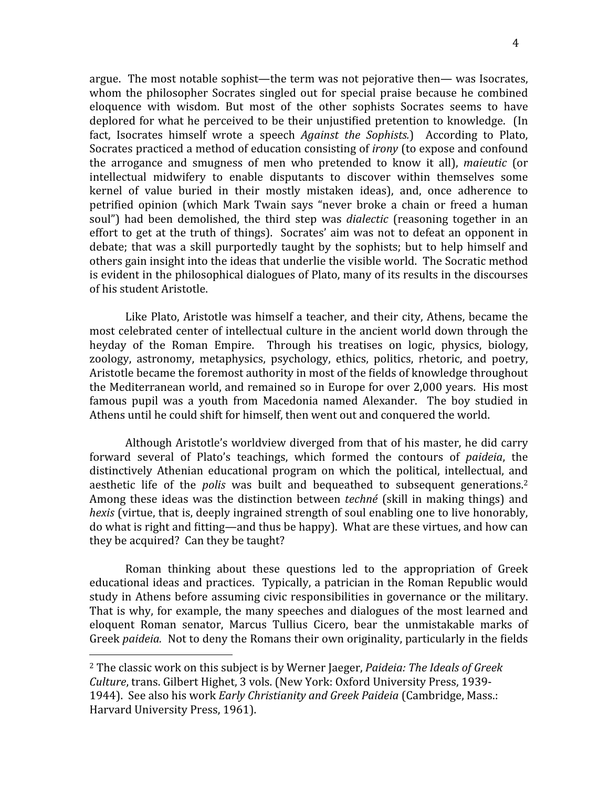argue.

The
most
notable
sophist—the
term
was
not
pejorative
then—
was
Isocrates, whom the philosopher Socrates singled out for special praise because he combined eloquence with wisdom. But most of the other sophists Socrates seems to have deplored for what he perceived to be their unjustified pretention to knowledge. (In fact, Isocrates himself wrote a speech *Against the Sophists*.) According to Plato, Socrates practiced a method of education consisting of *irony* (to expose and confound the
 arrogance
 and
 smugness
 of
 men
 who
 pretended
 to
 know
 it
 all), *maieutic* (or intellectual
 midwifery
 to
 enable
 disputants
 to
 discover
 within
 themselves
 some kernel of value buried in their mostly mistaken ideas), and, once adherence to petrified opinion (which Mark Twain says "never broke a chain or freed a human soul") had been demolished, the third step was *dialectic* (reasoning together in an effort to get at the truth of things). Socrates' aim was not to defeat an opponent in debate; that was a skill purportedly taught by the sophists; but to help himself and others
gain
insight
into
the
ideas
that
underlie
the
visible
world.

The
Socratic
method

Like Plato, Aristotle was himself a teacher, and their city, Athens, became the most
celebrated
center
of
intellectual
culture
in
the
ancient
world
down
through
the heyday of the Roman Empire. Through his treatises on logic, physics, biology, zoology, astronomy, metaphysics, psychology, ethics, politics, rhetoric, and poetry, Aristotle became the foremost authority in most of the fields of knowledge throughout the
Mediterranean
world,
and
remained
so
in
Europe
for
over
2,000
years.

His
most famous pupil was a youth from Macedonia named Alexander. The boy studied in Athens
until
he
could
shift
for
himself,
then
went
out
and
conquered
the
world.

is
evident
in
the
philosophical
dialogues
of
Plato,
many
of
its
results
in
the
discourses

of
his
student
Aristotle.

Although
Aristotle's
worldview
diverged
 from
that
of
his
master,
he
did
carry forward several of Plato's teachings, which formed the contours of *paideia*, the distinctively Athenian educational program on which the political, intellectual, and aesthetic life of the *polis* was built and bequeathed to subsequent generations.<sup>2</sup> Among these ideas was the distinction between *techné* (skill in making things) and hexis (virtue, that is, deeply ingrained strength of soul enabling one to live honorably, do what is right and fitting—and thus be happy). What are these virtues, and how can they
be
acquired?

Can
they
be
taught?

Roman thinking about these questions led to the appropriation of Greek educational
ideas
and
practices.

Typically,
a
patrician
in
 the
Roman
Republic
would study in Athens before assuming civic responsibilities in governance or the military. That is why, for example, the many speeches and dialogues of the most learned and eloquent Roman senator, Marcus Tullius Cicero, bear the unmistakable marks of Greek *paideia*. Not to deny the Romans their own originality, particularly in the fields

<sup>&</sup>lt;sup>2</sup> The classic work on this subject is by Werner Jaeger, Paideia: The Ideals of Greek Culture, trans. Gilbert Highet, 3 vols. (New York: Oxford University Press, 1939-1944).

See
also
his
work *Early
Christianity
and
Greek
Paideia*(Cambridge,
Mass.: Harvard
University
Press,
1961).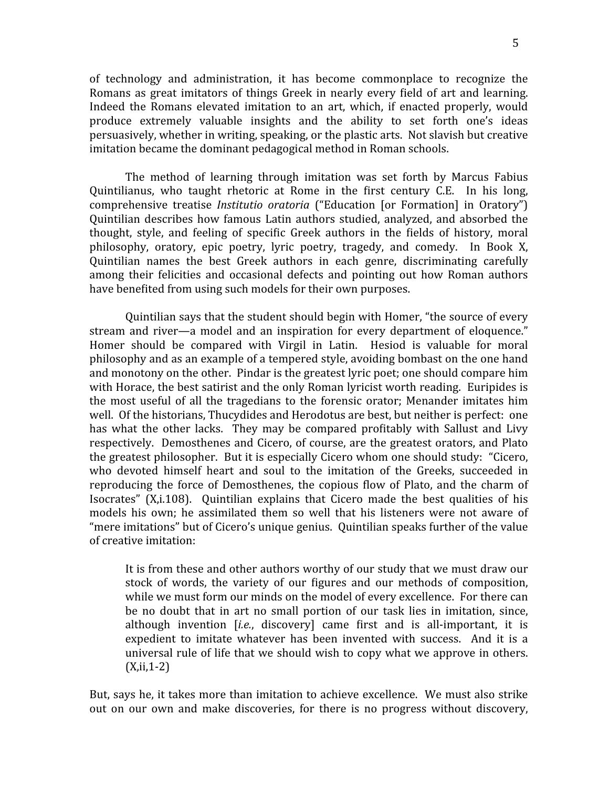of
 technology
 and
 administration,
 it
 has
 become
 commonplace
 to
 recognize
 the Romans as great imitators of things Greek in nearly every field of art and learning. Indeed the Romans elevated imitation to an art, which, if enacted properly, would produce extremely valuable insights and the ability to set forth one's ideas persuasively,
whether
in
writing,
speaking,
or
the
plastic
arts.

Not
slavish
but
creative imitation became the dominant pedagogical method in Roman schools.

The
 method
 of
 learning
 through
 imitation
 was
 set
 forth
 by
 Marcus
 Fabius Quintilianus, who taught rhetoric at Rome in the first century C.E. In his long, comprehensive treatise *Institutio oratoria* ("Education [or Formation] in Oratory") Quintilian
 describes
 how
 famous
 Latin
 authors
 studied,
 analyzed,
 and
 absorbed
 the thought, style, and feeling of specific Greek authors in the fields of history, moral philosophy, oratory, epic poetry, lyric poetry, tragedy, and comedy. In Book X, Quintilian
 names
 the
 best
 Greek
 authors
 in
 each
 genre,
 discriminating
 carefully among
 their
 felicities
 and
 occasional
 defects
 and
 pointing
 out
 how
 Roman
 authors have benefited from using such models for their own purposes.

Quintilian says that the student should begin with Homer, "the source of every stream and river—a model and an inspiration for every department of eloquence." Homer should be compared with Virgil in Latin. Hesiod is valuable for moral philosophy
and
as
an
example
of
a
tempered
style,
avoiding
bombast
on
the
one
hand and
monotony
on
the
other.

Pindar
is
the
greatest
lyric
poet;
one
should
compare
him with Horace, the best satirist and the only Roman lyricist worth reading. Euripides is the most useful of all the tragedians to the forensic orator; Menander imitates him well. Of the historians, Thucydides and Herodotus are best, but neither is perfect: one has what the other lacks. They may be compared profitably with Sallust and Livy respectively.

Demosthenes
and
Cicero,
of
course,
are
 the
greatest
orators,
and
Plato the greatest philosopher. But it is especially Cicero whom one should study: "Cicero, who devoted himself heart and soul to the imitation of the Greeks, succeeded in reproducing the force of Demosthenes, the copious flow of Plato, and the charm of Isocrates" (X,i,108). Ouintilian explains that Cicero made the best qualities of his models his own; he assimilated them so well that his listeners were not aware of "mere imitations" but of Cicero's unique genius. Ouintilian speaks further of the value of
creative
imitation:

It is from these and other authors worthy of our study that we must draw our stock of words, the variety of our figures and our methods of composition, while we must form our minds on the model of every excellence. For there can be no doubt that in art no small portion of our task lies in imitation, since, although invention [i.e., discovery] came first and is all-important, it is expedient to imitate whatever has been invented with success. And it is a universal rule of life that we should wish to copy what we approve in others.  $(X, ii, 1-2)$ 

But, says he, it takes more than imitation to achieve excellence. We must also strike out on our own and make discoveries, for there is no progress without discovery,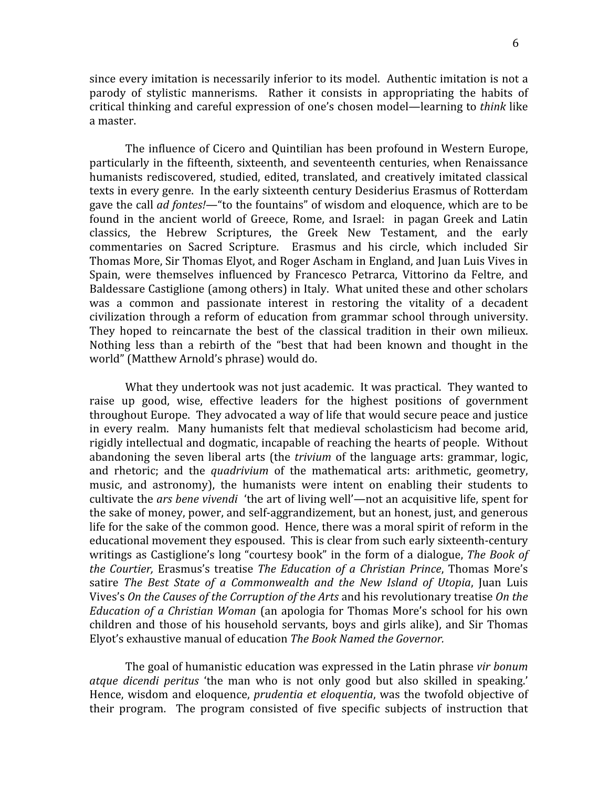since every imitation is necessarily inferior to its model. Authentic imitation is not a parody of stylistic mannerisms. Rather it consists in appropriating the habits of critical
thinking
and
careful
expression
of
one's
chosen
model—learning
to *think*like a
master.

The influence of Cicero and Ouintilian has been profound in Western Europe. particularly in the fifteenth, sixteenth, and seventeenth centuries, when Renaissance humanists rediscovered, studied, edited, translated, and creatively imitated classical texts
in
every
genre.

In
the
early
sixteenth
century
Desiderius
Erasmus
of
Rotterdam gave the call *ad fontes!*—"to the fountains" of wisdom and eloquence, which are to be found in the ancient world of Greece, Rome, and Israel: in pagan Greek and Latin classics,
 the
 Hebrew
 Scriptures,
 the
 Greek
 New
 Testament,
 and
 the
 early commentaries
 on
 Sacred
 Scripture.

 Erasmus
 and
 his
 circle,
 which
 included
 Sir Thomas More, Sir Thomas Elyot, and Roger Ascham in England, and Juan Luis Vives in Spain, were themselves influenced by Francesco Petrarca, Vittorino da Feltre, and Baldessare Castiglione (among others) in Italy. What united these and other scholars was a common and passionate interest in restoring the vitality of a decadent civilization
 through
a
 reform
 of
education
 from
grammar
 school
 through
 university. They hoped to reincarnate the best of the classical tradition in their own milieux. Nothing less than a rebirth of the "best that had been known and thought in the world"
(Matthew
Arnold's
phrase)
would
do.

What they undertook was not just academic. It was practical. They wanted to raise up good, wise, effective leaders for the highest positions of government throughout Europe. They advocated a way of life that would secure peace and justice in
 every
 realm.

 Many
 humanists
 felt
 that
 medieval
 scholasticism
 had
 become
 arid, rigidly intellectual and dogmatic, incapable of reaching the hearts of people. Without abandoning the seven liberal arts (the *trivium* of the language arts: grammar, logic, and rhetoric; and the *quadrivium* of the mathematical arts: arithmetic, geometry, music, and astronomy), the humanists were intent on enabling their students to cultivate the *ars bene vivendi* 'the art of living well'—not an acquisitive life, spent for the sake of money, power, and self-aggrandizement, but an honest, just, and generous life for the sake of the common good. Hence, there was a moral spirit of reform in the educational
movement
they
espoused.

This
is
clear
from
such
early
sixteenth‐century writings as Castiglione's long "courtesy book" in the form of a dialogue, The Book of the Courtier, Erasmus's treatise The Education of a Christian Prince, Thomas More's satire The Best State of a Commonwealth and the New Island of Utopia, Juan Luis Vives's On the Causes of the Corruption of the Arts and his revolutionary treatise On the Education of a Christian Woman (an apologia for Thomas More's school for his own children and those of his household servants, boys and girls alike), and Sir Thomas Elyot's
exhaustive
manual
of
education *The
Book
Named
the
Governor.*

The
goal
of
humanistic
education
was
expressed
in
the
Latin
phrase *vir
bonum*  atque dicendi peritus 'the man who is not only good but also skilled in speaking.' Hence, wisdom and eloquence, *prudentia et eloquentia*, was the twofold objective of their program. The program consisted of five specific subjects of instruction that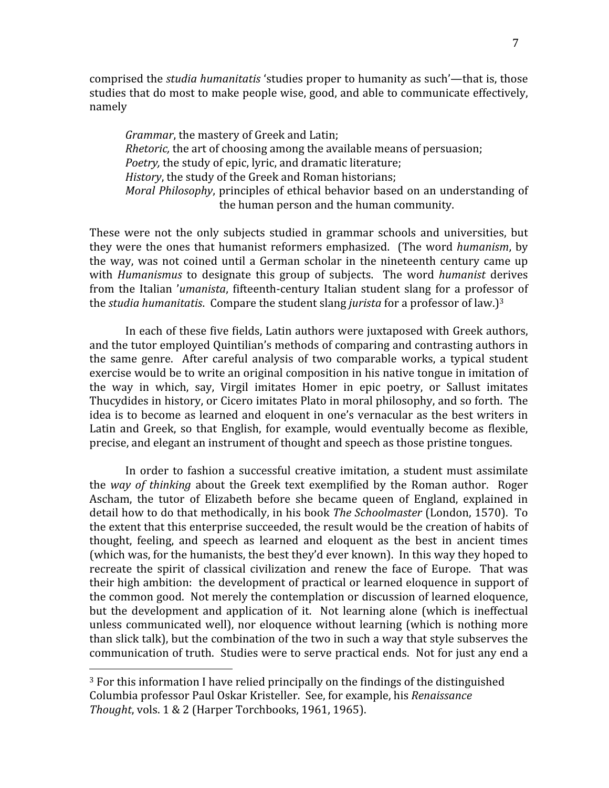comprised the *studia
humanitatis*'studies
proper
to
humanity
as
such'—that
is,
those studies that do most to make people wise, good, and able to communicate effectively, namely

Grammar, the mastery of Greek and Latin; *Rhetoric*, the art of choosing among the available means of persuasion; Poetry, the study of epic, lyric, and dramatic literature; History, the study of the Greek and Roman historians; Moral Philosophy, principles of ethical behavior based on an understanding of the
human
person
and
the
human
community.

These were not the only subjects studied in grammar schools and universities, but they were the ones that humanist reformers emphasized. (The word *humanism*, by the way, was not coined until a German scholar in the nineteenth century came up with *Humanismus* to designate this group of subjects. The word *humanist* derives from the Italian 'umanista, fifteenth-century Italian student slang for a professor of the *studia humanitatis*. Compare the student slang *jurista* for a professor of law.)<sup>3</sup>

In each of these five fields, Latin authors were juxtaposed with Greek authors, and
the
tutor
employed
Quintilian's
methods
of
comparing
and
contrasting
authors
in the same genre. After careful analysis of two comparable works, a typical student exercise would be to write an original composition in his native tongue in imitation of the
 way
 in
 which,
 say,
 Virgil
 imitates
 Homer
 in
 epic
 poetry,
 or
 Sallust
 imitates Thucydides in history, or Cicero imitates Plato in moral philosophy, and so forth. The idea is to become as learned and eloquent in one's vernacular as the best writers in Latin and Greek, so that English, for example, would eventually become as flexible, precise,
and
elegant
an
instrument
of
thought
and
speech
as
those
pristine
tongues.

In
 order
 to
 fashion
 a
 successful
 creative
imitation,
 a
 student
must
 assimilate the way of thinking about the Greek text exemplified by the Roman author. Roger Ascham, the tutor of Elizabeth before she became queen of England, explained in detail how to do that methodically, in his book The Schoolmaster (London, 1570). To the extent that this enterprise succeeded, the result would be the creation of habits of thought,
 feeling,
 and
 speech
 as
 learned
 and
 eloquent
 as
 the
 best
 in
 ancient
 times (which
was,
for
the
humanists,
the
best
they'd
ever
known).

In
this
way
they
hoped
to recreate the spirit of classical civilization and renew the face of Europe. That was their high ambition: the development of practical or learned eloquence in support of the
common
good.

Not
merely
the
contemplation
or
discussion
of
learned
eloquence, but the development and application of it. Not learning alone (which is ineffectual unless communicated well), nor eloquence without learning (which is nothing more than
slick
talk),
but
the
combination
of
the
two
in
such
a
way
that
style
subserves
the communication
of
truth.

Studies
were
to
serve
practical
ends.

Not
for
just
any
end
a

<sup>&</sup>lt;sup>3</sup> For this information I have relied principally on the findings of the distinguished Columbia
professor
Paul
Oskar
Kristeller.

See,
for
example,
his *Renaissance Thought*,
vols.
1
&
2
(Harper
Torchbooks,
1961,
1965).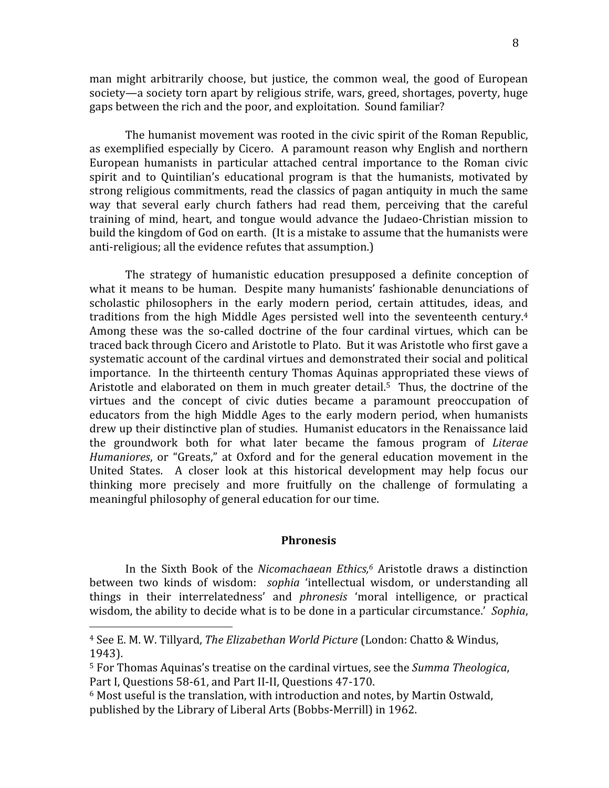man
 might
 arbitrarily
 choose,
 but
 justice,
 the
 common
 weal,
 the
 good
 of
 European society—a
society
torn
apart
by
religious
strife,
wars,
greed,
shortages,
poverty,
huge gaps
between
the
rich
and
the
poor,
and
exploitation.

Sound
familiar?

The
humanist
movement
was
rooted
in
the
civic
spirit
of
the
Roman
Republic, as exemplified especially by Cicero. A paramount reason why English and northern European humanists in particular attached central importance to the Roman civic spirit and to Quintilian's educational program is that the humanists, motivated by strong
religious
commitments,
read
the
classics
of
pagan
antiquity
in
much
the
same way that several early church fathers had read them, perceiving that the careful training
 of
 mind,
 heart,
 and
 tongue
 would
 advance
 the
 Judaeo‐Christian
 mission
 to build the kingdom of God on earth. (It is a mistake to assume that the humanists were anti-religious; all the evidence refutes that assumption.)

The strategy of humanistic education presupposed a definite conception of what it means to be human. Despite many humanists' fashionable denunciations of scholastic philosophers in the early modern period, certain attitudes, ideas, and traditions from the high Middle Ages persisted well into the seventeenth century.<sup>4</sup> Among these was the so-called doctrine of the four cardinal virtues, which can be traced back through Cicero and Aristotle to Plato. But it was Aristotle who first gave a systematic account of the cardinal virtues and demonstrated their social and political importance. In the thirteenth century Thomas Aquinas appropriated these views of Aristotle and elaborated on them in much greater detail.<sup>5</sup> Thus, the doctrine of the virtues and the concept of civic duties became a paramount preoccupation of educators
 from
 the
 high
 Middle
 Ages
 to
 the
 early
 modern
 period,
 when
 humanists drew
up
their
distinctive
plan
of
studies.

Humanist
educators
in
the
Renaissance
laid the
 groundwork
 both
 for
 what
 later
 became
 the
 famous
 program
 of *Literae*  Humaniores, or "Greats," at Oxford and for the general education movement in the United States. A closer look at this historical development may help focus our thinking more precisely and more fruitfully on the challenge of formulating a meaningful
philosophy
of
general
education
for
our
time.

## **Phronesis**

In the Sixth Book of the *Nicomachaean Ethics*,<sup>6</sup> Aristotle draws a distinction between two kinds of wisdom: sophia 'intellectual wisdom, or understanding all things
 in
 their
 interrelatedness'
 and *phronesis* 'moral
 intelligence,
 or
 practical wisdom, the ability to decide what is to be done in a particular circumstance.' Sophia,

<sup>&</sup>lt;sup>4</sup> See E. M. W. Tillyard, *The Elizabethan World Picture* (London: Chatto & Windus, 1943).

<sup>&</sup>lt;sup>5</sup> For Thomas Aquinas's treatise on the cardinal virtues, see the Summa Theologica, Part I, Questions 58-61, and Part II-II, Questions 47-170.

<sup>&</sup>lt;sup>6</sup> Most useful is the translation, with introduction and notes, by Martin Ostwald, published
by
the
Library
of
Liberal
Arts
(Bobbs‐Merrill)
in
1962.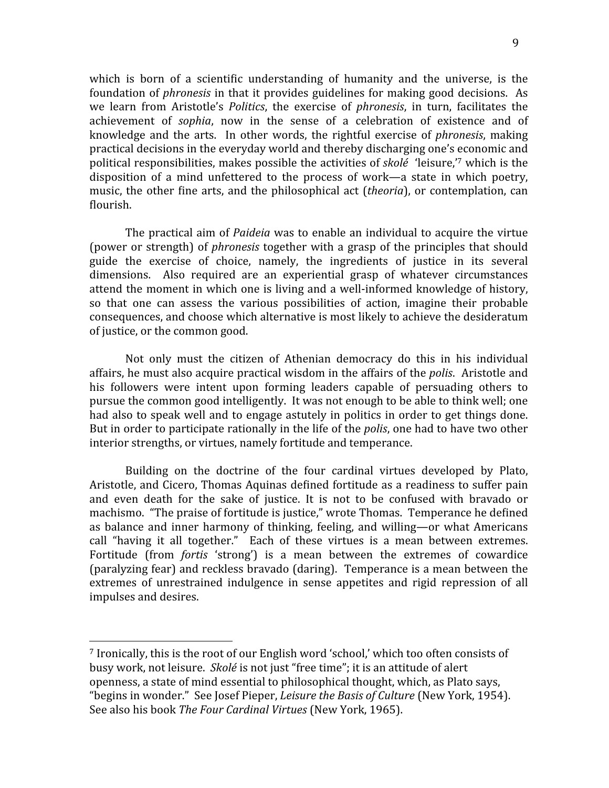which is born of a scientific understanding of humanity and the universe, is the foundation of *phronesis* in that it provides guidelines for making good decisions. As we learn from Aristotle's *Politics*, the exercise of *phronesis*, in turn, facilitates the achievement of *sophia*, now in the sense of a celebration of existence and of knowledge and the arts. In other words, the rightful exercise of *phronesis*, making practical
decisions
in
the
everyday
world
and
thereby
discharging
one's
economic
and political responsibilities, makes possible the activities of *skolé* 'leisure,'<sup>7</sup> which is the disposition of a mind unfettered to the process of work—a state in which poetry, music, the other fine arts, and the philosophical act *(theoria)*, or contemplation, can flourish.

The practical aim of *Paideia* was to enable an individual to acquire the virtue (power or strength) of *phronesis* together with a grasp of the principles that should guide
 the
 exercise
 of
 choice,
 namely,
 the
 ingredients
 of
 justice
 in
 its
 several dimensions. Also required are an experiential grasp of whatever circumstances attend the moment in which one is living and a well-informed knowledge of history, so that one can assess the various possibilities of action, imagine their probable consequences,
and
choose
which
alternative
is
most
likely
to
achieve
the
desideratum of
justice,
or
the
common
good.

Not only must the citizen of Athenian democracy do this in his individual affairs, he must also acquire practical wisdom in the affairs of the *polis*. Aristotle and his followers were intent upon forming leaders capable of persuading others to pursue
the
common
good
intelligently.

It
was
not
enough
to
be
able
to
think
well;
one had also to speak well and to engage astutely in politics in order to get things done. But in order to participate rationally in the life of the *polis*, one had to have two other interior
strengths,
or
virtues,
namely
fortitude
and
temperance.

Building on the doctrine of the four cardinal virtues developed by Plato, Aristotle, and Cicero, Thomas Aquinas defined fortitude as a readiness to suffer pain and even death for the sake of justice. It is not to be confused with bravado or machismo. "The praise of fortitude is justice," wrote Thomas. Temperance he defined as
 balance
 and
inner
 harmony
 of
 thinking,
 feeling,
 and
 willing—or
 what
 Americans call "having it all together." Each of these virtues is a mean between extremes. Fortitude (from *fortis* 'strong') is a mean between the extremes of cowardice (paralyzing
fear)
and
reckless
bravado
(daring).

Temperance
is
a
mean
between
the extremes of unrestrained indulgence in sense appetites and rigid repression of all impulses
and
desires.

<sup>&</sup>lt;sup>7</sup> Ironically, this is the root of our English word 'school,' which too often consists of busy work, not leisure. *Skolé* is not just "free time"; it is an attitude of alert openness,
a
state
of
mind
essential
to
philosophical
thought,
which,
as
Plato
says, "begins in wonder." See Josef Pieper, *Leisure the Basis of Culture* (New York, 1954). See
also
his
book *The
Four
Cardinal
Virtues*(New
York,
1965).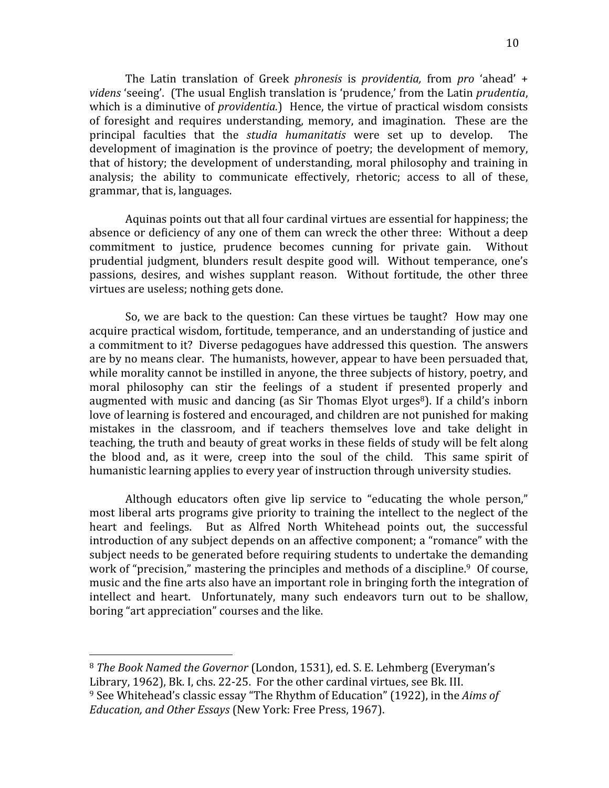The Latin translation of Greek *phronesis* is *providentia*, from *pro* 'ahead' + videns 'seeing'. (The usual English translation is 'prudence,' from the Latin *prudentia*, which is a diminutive of *providentia*.) Hence, the virtue of practical wisdom consists of foresight and requires understanding, memory, and imagination. These are the principal faculties that the *studia humanitatis* were set up to develop. The development of imagination is the province of poetry; the development of memory, that
of
history;
 the
development
of
understanding,
moral
philosophy
and
 training
in analysis; the ability to communicate effectively, rhetoric; access to all of these, grammar,
that
is,
languages.

Aquinas
points
out
that
all
four
cardinal
virtues
are
essential
for
happiness;
the absence or deficiency of any one of them can wreck the other three: Without a deep commitment
 to
 justice,
 prudence
 becomes
 cunning
 for
 private
 gain.

 Without prudential
 judgment,
 blunders
 result
 despite
 good
 will.

Without
 temperance,
 one's passions, desires, and wishes supplant reason. Without fortitude, the other three virtues
are
useless;
nothing
gets
done.

So, we are back to the question: Can these virtues be taught? How may one acquire
practical
wisdom,
fortitude,
temperance,
and
an
understanding
of
justice
and a commitment to it? Diverse pedagogues have addressed this question. The answers are
by
no
means
clear.

The
humanists,
however,
appear
to
have
been
persuaded
that, while morality cannot be instilled in anyone, the three subjects of history, poetry, and moral philosophy can stir the feelings of a student if presented properly and augmented with music and dancing (as Sir Thomas Elyot urges<sup>8</sup>). If a child's inborn love of learning is fostered and encouraged, and children are not punished for making mistakes in the classroom, and if teachers themselves love and take delight in teaching, the truth and beauty of great works in these fields of study will be felt along the blood and, as it were, creep into the soul of the child. This same spirit of humanistic learning applies to every year of instruction through university studies.

Although educators often give lip service to "educating the whole person," most liberal arts programs give priority to training the intellect to the neglect of the heart and feelings. But as Alfred North Whitehead points out, the successful introduction
of
any
subject
depends
on
an
affective
component;
a
"romance"
with
the subject
needs
to
be
generated
before
requiring
students
to
undertake
the
demanding work of "precision," mastering the principles and methods of a discipline.<sup>9</sup> Of course, music and the fine arts also have an important role in bringing forth the integration of intellect and heart. Unfortunately, many such endeavors turn out to be shallow, boring
"art
appreciation"
courses
and
the
like.

<sup>8</sup> The Book Named the Governor (London, 1531), ed. S. E. Lehmberg (Everyman's Library, 1962), Bk. I, chs. 22-25. For the other cardinal virtues, see Bk. III.

<sup>&</sup>lt;sup>9</sup> See Whitehead's classic essay "The Rhythm of Education" (1922), in the Aims of *Education,
and
Other
Essays*(New
York:
Free
Press,
1967).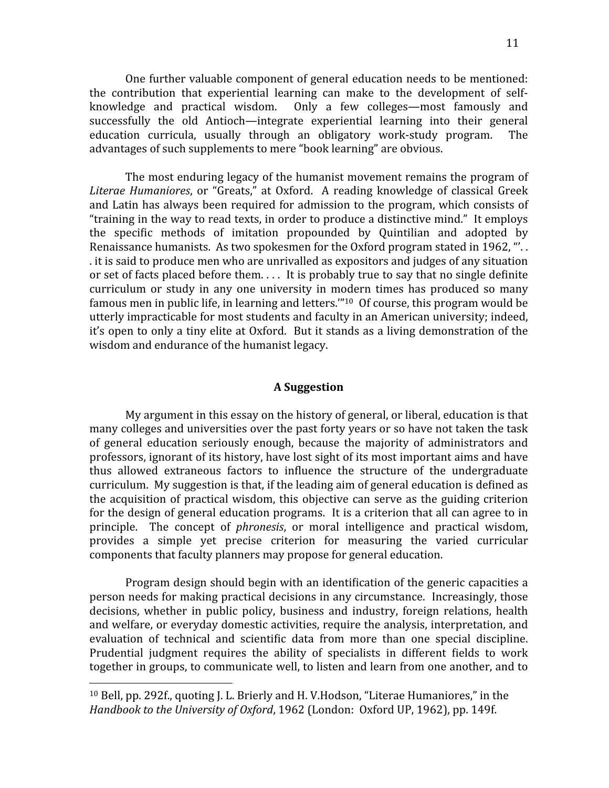One further valuable component of general education needs to be mentioned: the contribution that experiential learning can make to the development of selfknowledge and practical wisdom. Only a few colleges—most famously and successfully
 the
 old
 Antioch—integrate
 experiential
 learning
 into
 their
 general education curricula, usually through an obligatory work-study program. The advantages of such supplements to mere "book learning" are obvious.

The
most
enduring
legacy
of
the
humanist
movement
remains
the
program
of Literae Humaniores, or "Greats," at Oxford. A reading knowledge of classical Greek and
Latin
has
always
been
required
 for
admission
 to
 the
program,
which
consists
of "training in the way to read texts, in order to produce a distinctive mind." It employs the specific methods of imitation propounded by Quintilian and adopted by Renaissance humanists. As two spokesmen for the Oxford program stated in 1962, "... .
it
is
said
to
produce
men
who
are
unrivalled
as
expositors
and
judges
of
any
situation or set of facts placed before them.... It is probably true to say that no single definite curriculum or study in any one university in modern times has produced so many famous men in public life, in learning and letters."<sup>10</sup> Of course, this program would be utterly
impracticable
for
most
students
and
faculty
in
an
American
university;
indeed, it's open to only a tiny elite at Oxford. But it stands as a living demonstration of the wisdom
and
endurance
of
the
humanist
legacy.

## **A
Suggestion**

My argument in this essay on the history of general, or liberal, education is that many
colleges
and
universities
over
the
past
forty
years
or
so
have
not
taken
the
task of general education seriously enough, because the majority of administrators and professors,
ignorant
of
its
history,
have
lost
sight
of
its
most
important
aims
and
have thus allowed extraneous factors to influence the structure of the undergraduate curriculum. My suggestion is that, if the leading aim of general education is defined as the acquisition of practical wisdom, this objective can serve as the guiding criterion for the design of general education programs. It is a criterion that all can agree to in principle. The concept of *phronesis*, or moral intelligence and practical wisdom, provides a simple yet precise criterion for measuring the varied curricular components
that
faculty
planners
may
propose
for
general
education.

Program design should begin with an identification of the generic capacities a person needs for making practical decisions in any circumstance. Increasingly, those decisions, whether in public policy, business and industry, foreign relations, health and welfare, or everyday domestic activities, require the analysis, interpretation, and evaluation of technical and scientific data from more than one special discipline. Prudential judgment requires the ability of specialists in different fields to work together
in
groups,
to
communicate
well,
to
listen
and
learn
from
one
another,
and
to

<sup>&</sup>lt;sup>10</sup> Bell, pp. 292f., quoting J. L. Brierly and H. V. Hodson, "Literae Humaniores," in the Handbook to the University of Oxford, 1962 (London: Oxford UP, 1962), pp. 149f.